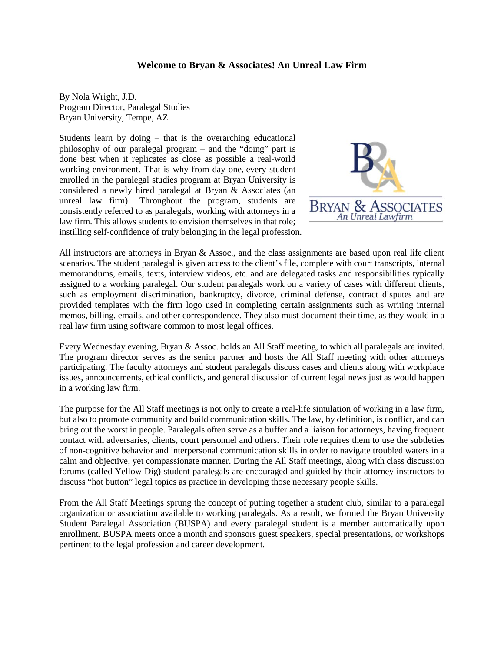## **Welcome to Bryan & Associates! An Unreal Law Firm**

By Nola Wright, J.D. Program Director, Paralegal Studies Bryan University, Tempe, AZ

Students learn by doing – that is the overarching educational philosophy of our paralegal program – and the "doing" part is done best when it replicates as close as possible a real-world working environment. That is why from day one, every student enrolled in the paralegal studies program at Bryan University is considered a newly hired paralegal at Bryan & Associates (an unreal law firm). Throughout the program, students are consistently referred to as paralegals, working with attorneys in a law firm. This allows students to envision themselves in that role; instilling self-confidence of truly belonging in the legal profession.



All instructors are attorneys in Bryan & Assoc., and the class assignments are based upon real life client scenarios. The student paralegal is given access to the client's file, complete with court transcripts, internal memorandums, emails, texts, interview videos, etc. and are delegated tasks and responsibilities typically assigned to a working paralegal. Our student paralegals work on a variety of cases with different clients, such as employment discrimination, bankruptcy, divorce, criminal defense, contract disputes and are provided templates with the firm logo used in completing certain assignments such as writing internal memos, billing, emails, and other correspondence. They also must document their time, as they would in a real law firm using software common to most legal offices.

Every Wednesday evening, Bryan & Assoc. holds an All Staff meeting, to which all paralegals are invited. The program director serves as the senior partner and hosts the All Staff meeting with other attorneys participating. The faculty attorneys and student paralegals discuss cases and clients along with workplace issues, announcements, ethical conflicts, and general discussion of current legal news just as would happen in a working law firm.

The purpose for the All Staff meetings is not only to create a real-life simulation of working in a law firm, but also to promote community and build communication skills. The law, by definition, is conflict, and can bring out the worst in people. Paralegals often serve as a buffer and a liaison for attorneys, having frequent contact with adversaries, clients, court personnel and others. Their role requires them to use the subtleties of non-cognitive behavior and interpersonal communication skills in order to navigate troubled waters in a calm and objective, yet compassionate manner. During the All Staff meetings, along with class discussion forums (called Yellow Dig) student paralegals are encouraged and guided by their attorney instructors to discuss "hot button" legal topics as practice in developing those necessary people skills.

From the All Staff Meetings sprung the concept of putting together a student club, similar to a paralegal organization or association available to working paralegals. As a result, we formed the Bryan University Student Paralegal Association (BUSPA) and every paralegal student is a member automatically upon enrollment. BUSPA meets once a month and sponsors guest speakers, special presentations, or workshops pertinent to the legal profession and career development.